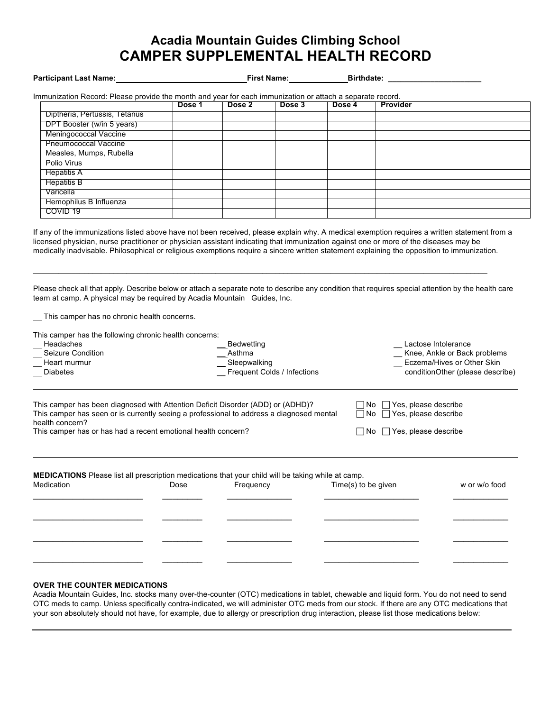# **Acadia Mountain Guides Climbing School CAMPER SUPPLEMENTAL HEALTH RECORD**

#### **Participant Last Name: First Name: First Name: Birthdate: Birthdate: Birthdate:**

| Immunization Record: Please provide the month and vear for each immunization or attach a separate record. |  |
|-----------------------------------------------------------------------------------------------------------|--|
|-----------------------------------------------------------------------------------------------------------|--|

|                               | Dose 1 | Dose 2 | Dose 3 | Dose 4 | <b>Provider</b> |
|-------------------------------|--------|--------|--------|--------|-----------------|
| Diptheria, Pertussis, Tetanus |        |        |        |        |                 |
| DPT Booster (w/in 5 years)    |        |        |        |        |                 |
| Meningococcal Vaccine         |        |        |        |        |                 |
| <b>Pneumococcal Vaccine</b>   |        |        |        |        |                 |
| Measles, Mumps, Rubella       |        |        |        |        |                 |
| Polio Virus                   |        |        |        |        |                 |
| <b>Hepatitis A</b>            |        |        |        |        |                 |
| <b>Hepatitis B</b>            |        |        |        |        |                 |
| Varicella                     |        |        |        |        |                 |
| Hemophilus B Influenza        |        |        |        |        |                 |
| COVID 19                      |        |        |        |        |                 |

If any of the immunizations listed above have not been received, please explain why. A medical exemption requires a written statement from a licensed physician, nurse practitioner or physician assistant indicating that immunization against one or more of the diseases may be medically inadvisable. Philosophical or religious exemptions require a sincere written statement explaining the opposition to immunization.

Please check all that apply. Describe below or attach a separate note to describe any condition that requires special attention by the health care team at camp. A physical may be required by Acadia Mountain Guides, Inc.

\_\_\_\_\_\_\_\_\_\_\_\_\_\_\_\_\_\_\_\_\_\_\_\_\_\_\_\_\_\_\_\_\_\_\_\_\_\_\_\_\_\_\_\_\_\_\_\_\_\_\_\_\_\_\_\_\_\_\_\_\_\_\_\_\_\_\_\_\_\_\_\_\_\_\_\_\_\_\_\_\_\_\_\_\_\_\_\_\_\_\_\_\_\_\_\_\_\_\_\_\_\_\_\_\_\_\_

This camper has no chronic health concerns.

This camper has the following chronic health concerns:

| Headaches         | Bedwetting                                                                      | Lactose Intolerance              |
|-------------------|---------------------------------------------------------------------------------|----------------------------------|
| Seizure Condition | Asthma                                                                          | Knee, Ankle or Back problems     |
| Heart murmur      | Sleepwalking                                                                    | Eczema/Hives or Other Skin       |
| Diabetes          | Frequent Colds / Infections                                                     | conditionOther (please describe) |
|                   |                                                                                 |                                  |
| ---               | This camper has been diagnosed with Attention Deficit Disorder (ADD) or (ADHD)? | Yes, please describe<br>1 No     |

| This camper has seen or is currently seeing a professional to address a diagnosed mental | $\Box$ No $\Box$ Yes, please describe |
|------------------------------------------------------------------------------------------|---------------------------------------|
| health concern?                                                                          |                                       |
| This camper has or has had a recent emotional health concern?                            | $\Box$ No $\Box$ Yes, please describe |
|                                                                                          |                                       |

| <b>MEDICATIONS</b> Please list all prescription medications that your child will be taking while at camp. |      |           |                     |               |  |
|-----------------------------------------------------------------------------------------------------------|------|-----------|---------------------|---------------|--|
| Medication                                                                                                | Dose | Frequency | Time(s) to be given | w or w/o food |  |
|                                                                                                           |      |           |                     |               |  |
|                                                                                                           |      |           |                     |               |  |
|                                                                                                           |      |           |                     |               |  |
|                                                                                                           |      |           |                     |               |  |
|                                                                                                           |      |           |                     |               |  |
|                                                                                                           |      |           |                     |               |  |

### **OVER THE COUNTER MEDICATIONS**

Acadia Mountain Guides, Inc. stocks many over-the-counter (OTC) medications in tablet, chewable and liquid form. You do not need to send OTC meds to camp. Unless specifically contra-indicated, we will administer OTC meds from our stock. If there are any OTC medications that your son absolutely should not have, for example, due to allergy or prescription drug interaction, please list those medications below: